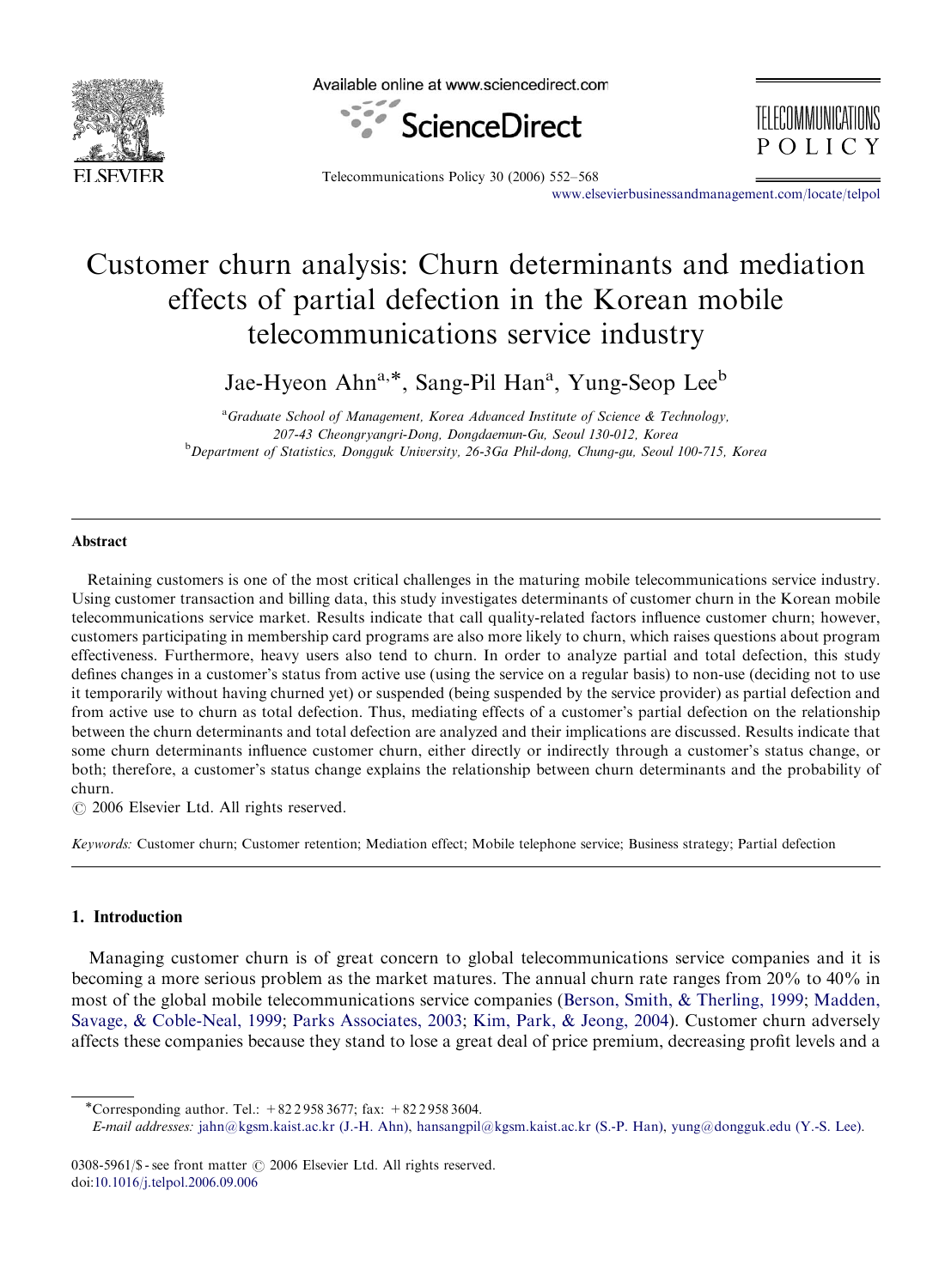

Available online at www.sciencedirect.com



Telecommunications Policy 30 (2006) 552–568

<www.elsevierbusinessandmanagement.com/locate/telpol>

TELECOMMUNICATIONS

POLICY

## Customer churn analysis: Churn determinants and mediation effects of partial defection in the Korean mobile telecommunications service industry

Jae-Hyeon Ahn<sup>a,\*</sup>, Sang-Pil Han<sup>a</sup>, Yung-Seop Lee<sup>b</sup>

<sup>a</sup> Graduate School of Management, Korea Advanced Institute of Science & Technology, 207-43 Cheongryangri-Dong, Dongdaemun-Gu, Seoul 130-012, Korea <sup>b</sup>Department of Statistics, Dongguk University, 26-3Ga Phil-dong, Chung-gu, Seoul 100-715, Korea

## Abstract

Retaining customers is one of the most critical challenges in the maturing mobile telecommunications service industry. Using customer transaction and billing data, this study investigates determinants of customer churn in the Korean mobile telecommunications service market. Results indicate that call quality-related factors influence customer churn; however, customers participating in membership card programs are also more likely to churn, which raises questions about program effectiveness. Furthermore, heavy users also tend to churn. In order to analyze partial and total defection, this study defines changes in a customer's status from active use (using the service on a regular basis) to non-use (deciding not to use it temporarily without having churned yet) or suspended (being suspended by the service provider) as partial defection and from active use to churn as total defection. Thus, mediating effects of a customer's partial defection on the relationship between the churn determinants and total defection are analyzed and their implications are discussed. Results indicate that some churn determinants influence customer churn, either directly or indirectly through a customer's status change, or both; therefore, a customer's status change explains the relationship between churn determinants and the probability of churn.

 $\odot$  2006 Elsevier Ltd. All rights reserved.

Keywords: Customer churn; Customer retention; Mediation effect; Mobile telephone service; Business strategy; Partial defection

## 1. Introduction

Managing customer churn is of great concern to global telecommunications service companies and it is becoming a more serious problem as the market matures. The annual churn rate ranges from 20% to 40% in most of the global mobile telecommunications service companies ([Berson, Smith, & Therling, 1999](#page--1-0); [Madden,](#page--1-0) [Savage, & Coble-Neal, 1999;](#page--1-0) [Parks Associates, 2003;](#page--1-0) [Kim, Park, & Jeong, 2004](#page--1-0)). Customer churn adversely affects these companies because they stand to lose a great deal of price premium, decreasing profit levels and a

<sup>\*</sup>Corresponding author. Tel.:  $+8229583677$ ; fax:  $+8229583604$ .

E-mail addresses: [jahn@kgsm.kaist.ac.kr \(J.-H. Ahn\)](mailto:jahn@kgsm.kaist.ac.kr), [hansangpil@kgsm.kaist.ac.kr \(S.-P. Han\)](mailto:hansangpil@kgsm.kaist.ac.kr), [yung@dongguk.edu \(Y.-S. Lee\)](mailto:yung@dongguk.edu).

<sup>0308-5961/\$ -</sup> see front matter  $\odot$  2006 Elsevier Ltd. All rights reserved. doi[:10.1016/j.telpol.2006.09.006](dx.doi.org/10.1016/j.telpol.2006.09.006)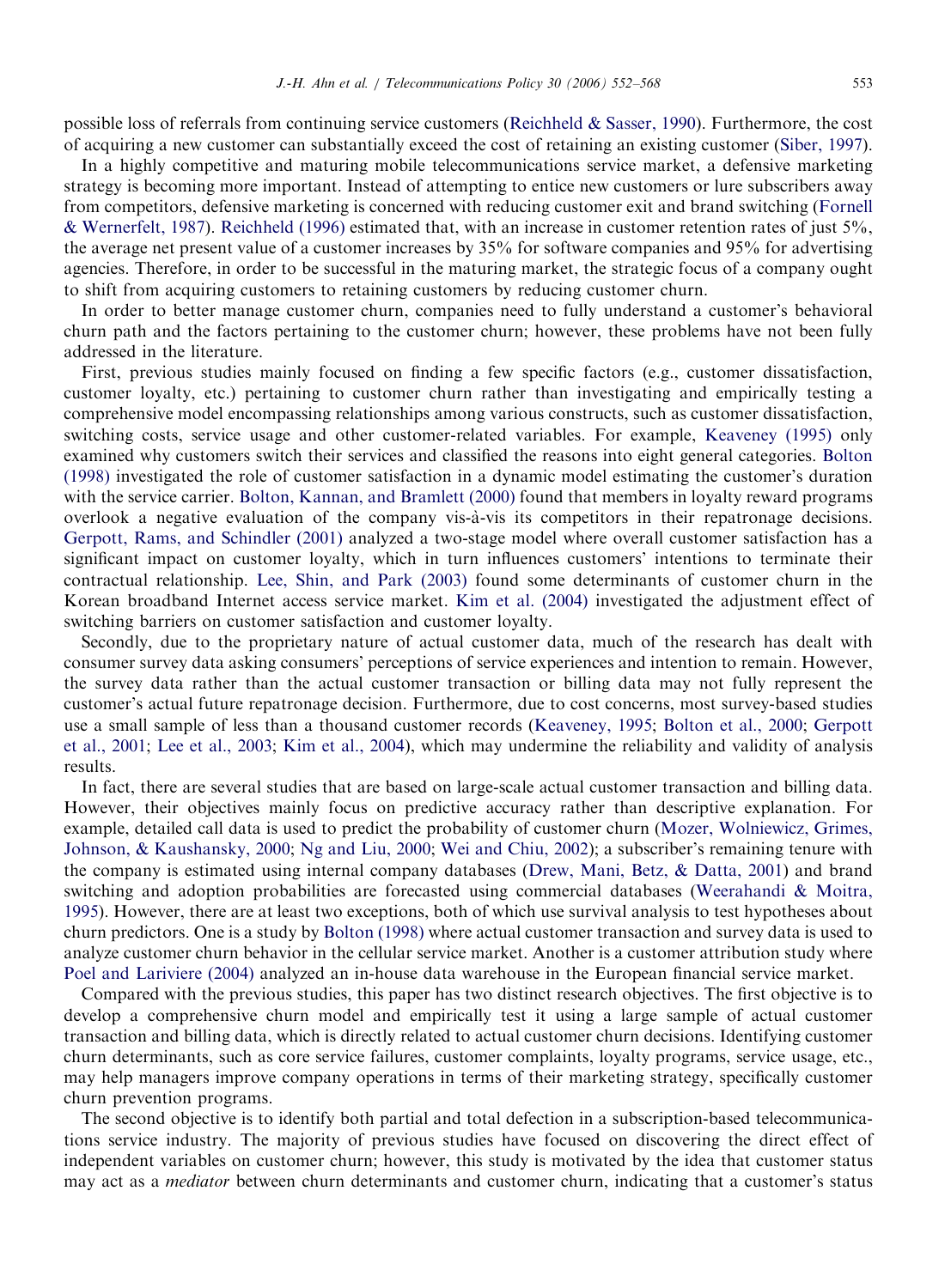possible loss of referrals from continuing service customers [\(Reichheld & Sasser, 1990](#page--1-0)). Furthermore, the cost of acquiring a new customer can substantially exceed the cost of retaining an existing customer ([Siber, 1997](#page--1-0)).

In a highly competitive and maturing mobile telecommunications service market, a defensive marketing strategy is becoming more important. Instead of attempting to entice new customers or lure subscribers away from competitors, defensive marketing is concerned with reducing customer exit and brand switching ([Fornell](#page--1-0) & [Wernerfelt, 1987](#page--1-0)). [Reichheld \(1996\)](#page--1-0) estimated that, with an increase in customer retention rates of just 5%, the average net present value of a customer increases by 35% for software companies and 95% for advertising agencies. Therefore, in order to be successful in the maturing market, the strategic focus of a company ought to shift from acquiring customers to retaining customers by reducing customer churn.

In order to better manage customer churn, companies need to fully understand a customer's behavioral churn path and the factors pertaining to the customer churn; however, these problems have not been fully addressed in the literature.

First, previous studies mainly focused on finding a few specific factors (e.g., customer dissatisfaction, customer loyalty, etc.) pertaining to customer churn rather than investigating and empirically testing a comprehensive model encompassing relationships among various constructs, such as customer dissatisfaction, switching costs, service usage and other customer-related variables. For example, [Keaveney \(1995\)](#page--1-0) only examined why customers switch their services and classified the reasons into eight general categories. [Bolton](#page--1-0) [\(1998\)](#page--1-0) investigated the role of customer satisfaction in a dynamic model estimating the customer's duration with the service carrier. [Bolton, Kannan, and Bramlett \(2000\)](#page--1-0) found that members in loyalty reward programs overlook a negative evaluation of the company vis-a`-vis its competitors in their repatronage decisions. [Gerpott, Rams, and Schindler \(2001\)](#page--1-0) analyzed a two-stage model where overall customer satisfaction has a significant impact on customer loyalty, which in turn influences customers' intentions to terminate their contractual relationship. [Lee, Shin, and Park \(2003\)](#page--1-0) found some determinants of customer churn in the Korean broadband Internet access service market. [Kim et al. \(2004\)](#page--1-0) investigated the adjustment effect of switching barriers on customer satisfaction and customer loyalty.

Secondly, due to the proprietary nature of actual customer data, much of the research has dealt with consumer survey data asking consumers' perceptions of service experiences and intention to remain. However, the survey data rather than the actual customer transaction or billing data may not fully represent the customer's actual future repatronage decision. Furthermore, due to cost concerns, most survey-based studies use a small sample of less than a thousand customer records ([Keaveney, 1995;](#page--1-0) [Bolton et al., 2000;](#page--1-0) [Gerpott](#page--1-0) [et al., 2001](#page--1-0); [Lee et al., 2003;](#page--1-0) [Kim et al., 2004](#page--1-0)), which may undermine the reliability and validity of analysis results.

In fact, there are several studies that are based on large-scale actual customer transaction and billing data. However, their objectives mainly focus on predictive accuracy rather than descriptive explanation. For example, detailed call data is used to predict the probability of customer churn ([Mozer, Wolniewicz, Grimes,](#page--1-0) [Johnson,](#page--1-0) & [Kaushansky, 2000](#page--1-0); [Ng and Liu, 2000](#page--1-0); [Wei and Chiu, 2002](#page--1-0)); a subscriber's remaining tenure with the company is estimated using internal company databases [\(Drew, Mani, Betz, & Datta, 2001](#page--1-0)) and brand switching and adoption probabilities are forecasted using commercial databases [\(Weerahandi & Moitra,](#page--1-0) [1995\)](#page--1-0). However, there are at least two exceptions, both of which use survival analysis to test hypotheses about churn predictors. One is a study by [Bolton \(1998\)](#page--1-0) where actual customer transaction and survey data is used to analyze customer churn behavior in the cellular service market. Another is a customer attribution study where [Poel and Lariviere \(2004\)](#page--1-0) analyzed an in-house data warehouse in the European financial service market.

Compared with the previous studies, this paper has two distinct research objectives. The first objective is to develop a comprehensive churn model and empirically test it using a large sample of actual customer transaction and billing data, which is directly related to actual customer churn decisions. Identifying customer churn determinants, such as core service failures, customer complaints, loyalty programs, service usage, etc., may help managers improve company operations in terms of their marketing strategy, specifically customer churn prevention programs.

The second objective is to identify both partial and total defection in a subscription-based telecommunications service industry. The majority of previous studies have focused on discovering the direct effect of independent variables on customer churn; however, this study is motivated by the idea that customer status may act as a *mediator* between churn determinants and customer churn, indicating that a customer's status